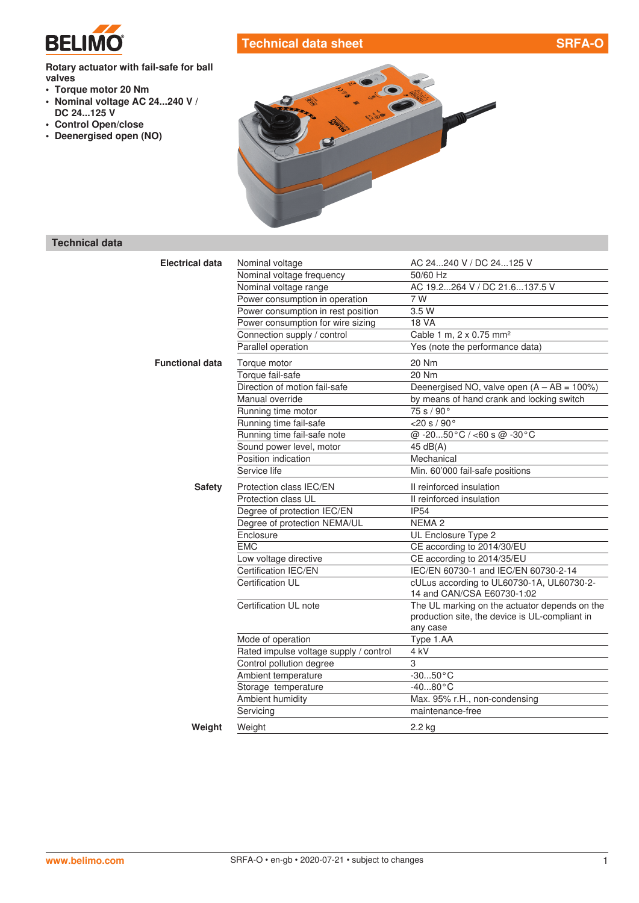

# **Technical data sheet SRFA-O**

#### **Rotary actuator with fail-safe for ball valves**

- **• Torque motor 20 Nm**
- **• Nominal voltage AC 24...240 V / DC 24...125 V**
- **• Control Open/close**
- **• Deenergised open (NO)**



# **Technical data**

| <b>Electrical data</b> | Nominal voltage                        | AC 24240 V / DC 24125 V                        |
|------------------------|----------------------------------------|------------------------------------------------|
|                        | Nominal voltage frequency              | 50/60 Hz                                       |
|                        | Nominal voltage range                  | AC 19.2264 V / DC 21.6137.5 V                  |
|                        | Power consumption in operation         | 7 W                                            |
|                        | Power consumption in rest position     | 3.5 W                                          |
|                        | Power consumption for wire sizing      | <b>18 VA</b>                                   |
|                        | Connection supply / control            | Cable 1 m, 2 x 0.75 mm <sup>2</sup>            |
|                        | Parallel operation                     | Yes (note the performance data)                |
| <b>Functional data</b> | Torque motor                           | 20 Nm                                          |
|                        | Torque fail-safe                       | 20 Nm                                          |
|                        | Direction of motion fail-safe          | Deenergised NO, valve open $(A - AB = 100\%)$  |
|                        | Manual override                        | by means of hand crank and locking switch      |
|                        | Running time motor                     | 75 s / 90°                                     |
|                        | Running time fail-safe                 | $\overline{20s/90^{\circ}}$                    |
|                        | Running time fail-safe note            | @ -2050°C / <60 s @ -30°C                      |
|                        | Sound power level, motor               | 45 dB(A)                                       |
|                        | Position indication                    | Mechanical                                     |
|                        | Service life                           | Min. 60'000 fail-safe positions                |
| <b>Safety</b>          | Protection class IEC/EN                | Il reinforced insulation                       |
|                        | Protection class UL                    | II reinforced insulation                       |
|                        | Degree of protection IEC/EN            | <b>IP54</b>                                    |
|                        | Degree of protection NEMA/UL           | NEMA <sub>2</sub>                              |
|                        | Enclosure                              | UL Enclosure Type 2                            |
|                        | <b>EMC</b>                             | CE according to 2014/30/EU                     |
|                        | Low voltage directive                  | CE according to 2014/35/EU                     |
|                        | Certification IEC/EN                   | IEC/EN 60730-1 and IEC/EN 60730-2-14           |
|                        | Certification UL                       | cULus according to UL60730-1A, UL60730-2-      |
|                        |                                        | 14 and CAN/CSA E60730-1:02                     |
|                        | Certification UL note                  | The UL marking on the actuator depends on the  |
|                        |                                        | production site, the device is UL-compliant in |
|                        |                                        | any case                                       |
|                        | Mode of operation                      | Type 1.AA                                      |
|                        | Rated impulse voltage supply / control | 4 kV                                           |
|                        | Control pollution degree               | 3                                              |
|                        | Ambient temperature                    | $-3050$ °C                                     |
|                        | Storage temperature                    | $-4080 °C$                                     |
|                        | Ambient humidity                       | Max. 95% r.H., non-condensing                  |
|                        | Servicing                              | maintenance-free                               |
| Weight                 | Weight                                 | 2.2 kg                                         |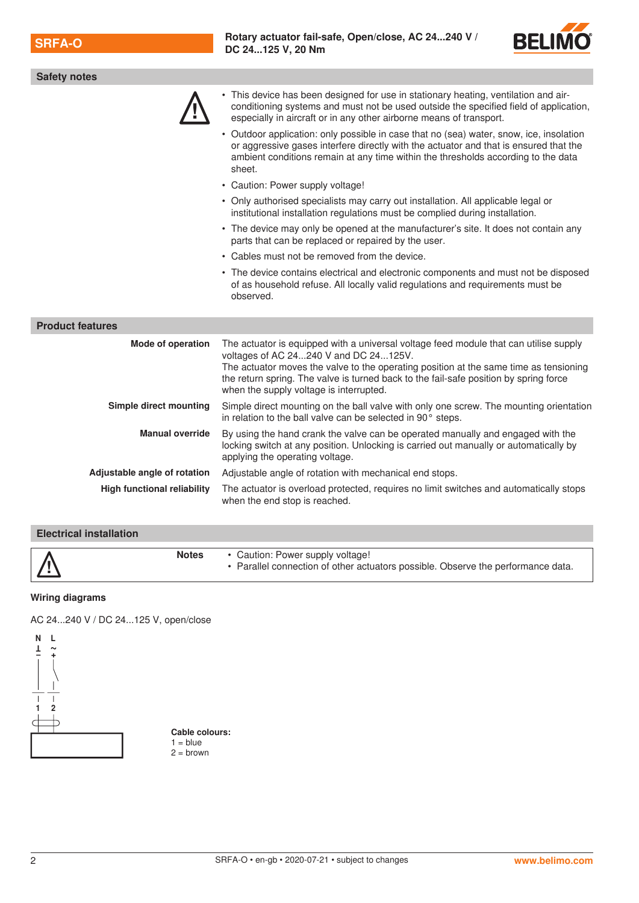

| <b>Safety notes</b>                |                                                                                                                                                                                                                                                                                                                                                             |  |  |
|------------------------------------|-------------------------------------------------------------------------------------------------------------------------------------------------------------------------------------------------------------------------------------------------------------------------------------------------------------------------------------------------------------|--|--|
|                                    | • This device has been designed for use in stationary heating, ventilation and air-<br>conditioning systems and must not be used outside the specified field of application,<br>especially in aircraft or in any other airborne means of transport.                                                                                                         |  |  |
|                                    | • Outdoor application: only possible in case that no (sea) water, snow, ice, insolation<br>or aggressive gases interfere directly with the actuator and that is ensured that the<br>ambient conditions remain at any time within the thresholds according to the data<br>sheet.                                                                             |  |  |
|                                    | • Caution: Power supply voltage!                                                                                                                                                                                                                                                                                                                            |  |  |
|                                    | • Only authorised specialists may carry out installation. All applicable legal or<br>institutional installation regulations must be complied during installation.                                                                                                                                                                                           |  |  |
|                                    | • The device may only be opened at the manufacturer's site. It does not contain any<br>parts that can be replaced or repaired by the user.                                                                                                                                                                                                                  |  |  |
|                                    | • Cables must not be removed from the device.                                                                                                                                                                                                                                                                                                               |  |  |
|                                    | • The device contains electrical and electronic components and must not be disposed<br>of as household refuse. All locally valid regulations and requirements must be<br>observed.                                                                                                                                                                          |  |  |
| <b>Product features</b>            |                                                                                                                                                                                                                                                                                                                                                             |  |  |
| Mode of operation                  | The actuator is equipped with a universal voltage feed module that can utilise supply<br>voltages of AC 24240 V and DC 24125V.<br>The actuator moves the valve to the operating position at the same time as tensioning<br>the return spring. The valve is turned back to the fail-safe position by spring force<br>when the supply voltage is interrupted. |  |  |
| Simple direct mounting             | Simple direct mounting on the ball valve with only one screw. The mounting orientation<br>in relation to the ball valve can be selected in 90° steps.                                                                                                                                                                                                       |  |  |
| <b>Manual override</b>             | By using the hand crank the valve can be operated manually and engaged with the<br>locking switch at any position. Unlocking is carried out manually or automatically by<br>applying the operating voltage.                                                                                                                                                 |  |  |
| Adjustable angle of rotation       | Adjustable angle of rotation with mechanical end stops.                                                                                                                                                                                                                                                                                                     |  |  |
| <b>High functional reliability</b> | The actuator is overload protected, requires no limit switches and automatically stops<br>when the end stop is reached.                                                                                                                                                                                                                                     |  |  |

### **Electrical installation**

#### **Wiring diagrams**

AC 24...240 V / DC 24...125 V, open/close



**Cable colours:**  $1 = blue$  $2 =$  brown